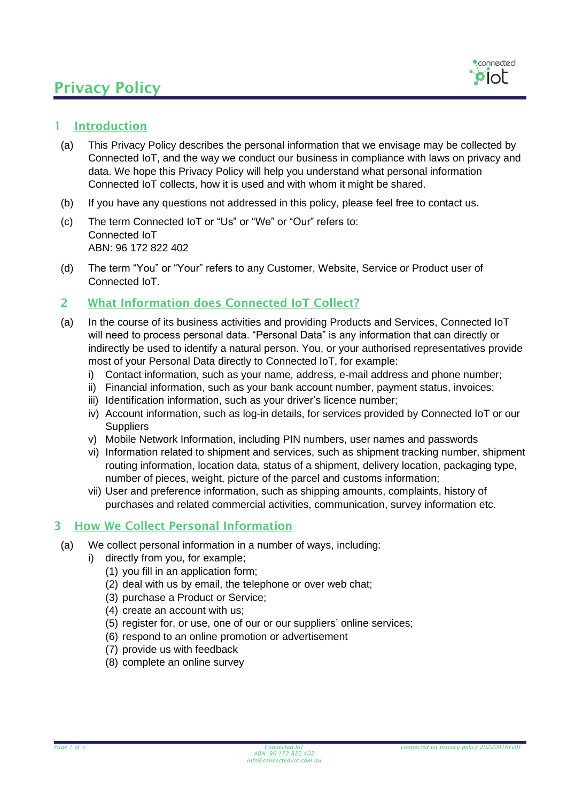

### 1 Introduction

- (a) This Privacy Policy describes the personal information that we envisage may be collected by Connected IoT, and the way we conduct our business in compliance with laws on privacy and data. We hope this Privacy Policy will help you understand what personal information Connected IoT collects, how it is used and with whom it might be shared.
- (b) If you have any questions not addressed in this policy, please feel free to contact us.
- (c) The term Connected IoT or "Us" or "We" or "Our" refers to: Connected IoT ABN: 96 172 822 402
- (d) The term "You" or "Your" refers to any Customer, Website, Service or Product user of Connected IoT.

#### 2 What Information does Connected IoT Collect?

- (a) In the course of its business activities and providing Products and Services, Connected IoT will need to process personal data. "Personal Data" is any information that can directly or indirectly be used to identify a natural person. You, or your authorised representatives provide most of your Personal Data directly to Connected IoT, for example:
	- i) Contact information, such as your name, address, e-mail address and phone number;
	- ii) Financial information, such as your bank account number, payment status, invoices;
	- iii) Identification information, such as your driver's licence number;
	- iv) Account information, such as log-in details, for services provided by Connected IoT or our **Suppliers**
	- v) Mobile Network Information, including PIN numbers, user names and passwords
	- vi) Information related to shipment and services, such as shipment tracking number, shipment routing information, location data, status of a shipment, delivery location, packaging type, number of pieces, weight, picture of the parcel and customs information;
	- vii) User and preference information, such as shipping amounts, complaints, history of purchases and related commercial activities, communication, survey information etc.

#### 3 How We Collect Personal Information

- (a) We collect personal information in a number of ways, including:
	- i) directly from you, for example;
		- (1) you fill in an application form;
		- (2) deal with us by email, the telephone or over web chat;
		- (3) purchase a Product or Service;
		- (4) create an account with us;
		- (5) register for, or use, one of our or our suppliers' online services;
		- (6) respond to an online promotion or advertisement
		- (7) provide us with feedback
		- (8) complete an online survey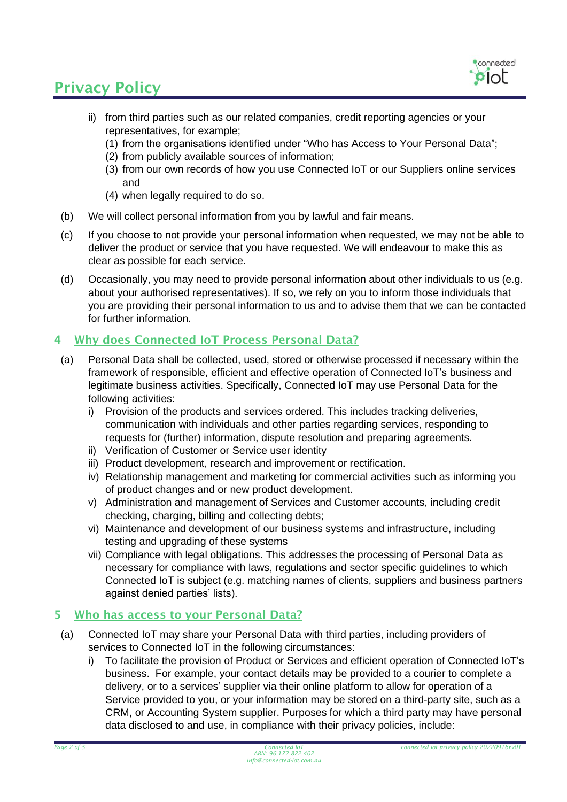

- ii) from third parties such as our related companies, credit reporting agencies or your representatives, for example;
	- (1) from the organisations identified under "Who has Access to Your Personal Data";
	- (2) from publicly available sources of information;
	- (3) from our own records of how you use Connected IoT or our Suppliers online services and
	- (4) when legally required to do so.
- (b) We will collect personal information from you by lawful and fair means.
- (c) If you choose to not provide your personal information when requested, we may not be able to deliver the product or service that you have requested. We will endeavour to make this as clear as possible for each service.
- (d) Occasionally, you may need to provide personal information about other individuals to us (e.g. about your authorised representatives). If so, we rely on you to inform those individuals that you are providing their personal information to us and to advise them that we can be contacted for further information.

## 4 Why does Connected IoT Process Personal Data?

- (a) Personal Data shall be collected, used, stored or otherwise processed if necessary within the framework of responsible, efficient and effective operation of Connected IoT's business and legitimate business activities. Specifically, Connected IoT may use Personal Data for the following activities:
	- i) Provision of the products and services ordered. This includes tracking deliveries, communication with individuals and other parties regarding services, responding to requests for (further) information, dispute resolution and preparing agreements.
	- ii) Verification of Customer or Service user identity
	- iii) Product development, research and improvement or rectification.
	- iv) Relationship management and marketing for commercial activities such as informing you of product changes and or new product development.
	- v) Administration and management of Services and Customer accounts, including credit checking, charging, billing and collecting debts;
	- vi) Maintenance and development of our business systems and infrastructure, including testing and upgrading of these systems
	- vii) Compliance with legal obligations. This addresses the processing of Personal Data as necessary for compliance with laws, regulations and sector specific guidelines to which Connected IoT is subject (e.g. matching names of clients, suppliers and business partners against denied parties' lists).

#### 5 Who has access to your Personal Data?

- (a) Connected IoT may share your Personal Data with third parties, including providers of services to Connected IoT in the following circumstances:
	- i) To facilitate the provision of Product or Services and efficient operation of Connected IoT's business. For example, your contact details may be provided to a courier to complete a delivery, or to a services' supplier via their online platform to allow for operation of a Service provided to you, or your information may be stored on a third-party site, such as a CRM, or Accounting System supplier. Purposes for which a third party may have personal data disclosed to and use, in compliance with their privacy policies, include: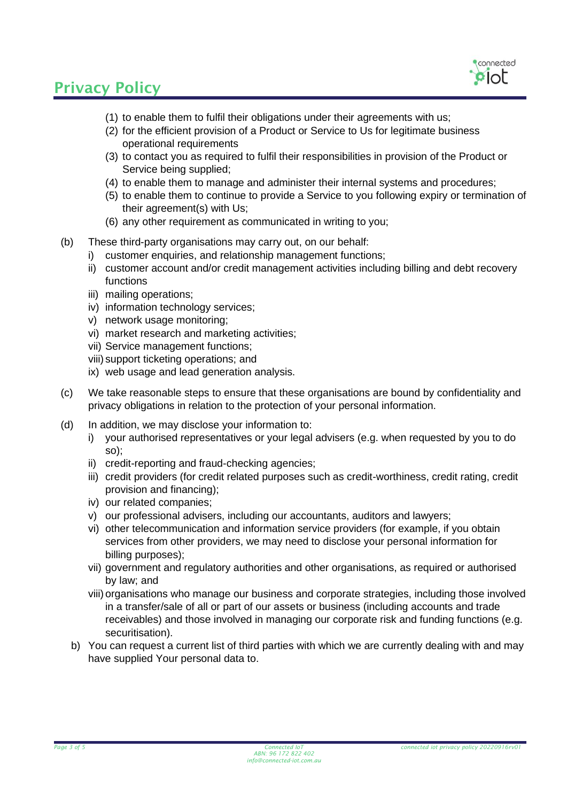

- (1) to enable them to fulfil their obligations under their agreements with us;
- (2) for the efficient provision of a Product or Service to Us for legitimate business operational requirements
- (3) to contact you as required to fulfil their responsibilities in provision of the Product or Service being supplied;
- (4) to enable them to manage and administer their internal systems and procedures;
- (5) to enable them to continue to provide a Service to you following expiry or termination of their agreement(s) with Us;
- (6) any other requirement as communicated in writing to you;
- (b) These third-party organisations may carry out, on our behalf:
	- i) customer enquiries, and relationship management functions;
	- ii) customer account and/or credit management activities including billing and debt recovery functions
	- iii) mailing operations;
	- iv) information technology services;
	- v) network usage monitoring;
	- vi) market research and marketing activities;
	- vii) Service management functions;
	- viii) support ticketing operations; and
	- ix) web usage and lead generation analysis.
- (c) We take reasonable steps to ensure that these organisations are bound by confidentiality and privacy obligations in relation to the protection of your personal information.
- (d) In addition, we may disclose your information to:
	- i) your authorised representatives or your legal advisers (e.g. when requested by you to do so);
	- ii) credit-reporting and fraud-checking agencies;
	- iii) credit providers (for credit related purposes such as credit-worthiness, credit rating, credit provision and financing);
	- iv) our related companies;
	- v) our professional advisers, including our accountants, auditors and lawyers;
	- vi) other telecommunication and information service providers (for example, if you obtain services from other providers, we may need to disclose your personal information for billing purposes);
	- vii) government and regulatory authorities and other organisations, as required or authorised by law; and
	- viii) organisations who manage our business and corporate strategies, including those involved in a transfer/sale of all or part of our assets or business (including accounts and trade receivables) and those involved in managing our corporate risk and funding functions (e.g. securitisation).
	- b) You can request a current list of third parties with which we are currently dealing with and may have supplied Your personal data to.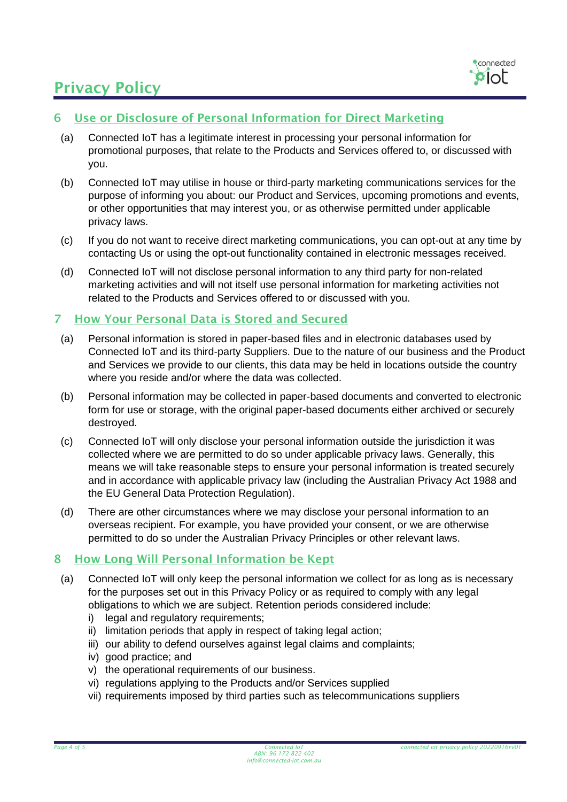

## 6 Use or Disclosure of Personal Information for Direct Marketing

- (a) Connected IoT has a legitimate interest in processing your personal information for promotional purposes, that relate to the Products and Services offered to, or discussed with you.
- (b) Connected IoT may utilise in house or third-party marketing communications services for the purpose of informing you about: our Product and Services, upcoming promotions and events, or other opportunities that may interest you, or as otherwise permitted under applicable privacy laws.
- (c) If you do not want to receive direct marketing communications, you can opt-out at any time by contacting Us or using the opt-out functionality contained in electronic messages received.
- (d) Connected IoT will not disclose personal information to any third party for non-related marketing activities and will not itself use personal information for marketing activities not related to the Products and Services offered to or discussed with you.

#### 7 How Your Personal Data is Stored and Secured

- (a) Personal information is stored in paper-based files and in electronic databases used by Connected IoT and its third-party Suppliers. Due to the nature of our business and the Product and Services we provide to our clients, this data may be held in locations outside the country where you reside and/or where the data was collected.
- (b) Personal information may be collected in paper-based documents and converted to electronic form for use or storage, with the original paper-based documents either archived or securely destroyed.
- (c) Connected IoT will only disclose your personal information outside the jurisdiction it was collected where we are permitted to do so under applicable privacy laws. Generally, this means we will take reasonable steps to ensure your personal information is treated securely and in accordance with applicable privacy law (including the Australian Privacy Act 1988 and the EU General Data Protection Regulation).
- (d) There are other circumstances where we may disclose your personal information to an overseas recipient. For example, you have provided your consent, or we are otherwise permitted to do so under the Australian Privacy Principles or other relevant laws.

### 8 How Long Will Personal Information be Kept

- (a) Connected IoT will only keep the personal information we collect for as long as is necessary for the purposes set out in this Privacy Policy or as required to comply with any legal obligations to which we are subject. Retention periods considered include:
	- i) legal and regulatory requirements;
	- ii) limitation periods that apply in respect of taking legal action;
	- iii) our ability to defend ourselves against legal claims and complaints;
	- iv) good practice; and
	- v) the operational requirements of our business.
	- vi) regulations applying to the Products and/or Services supplied
	- vii) requirements imposed by third parties such as telecommunications suppliers